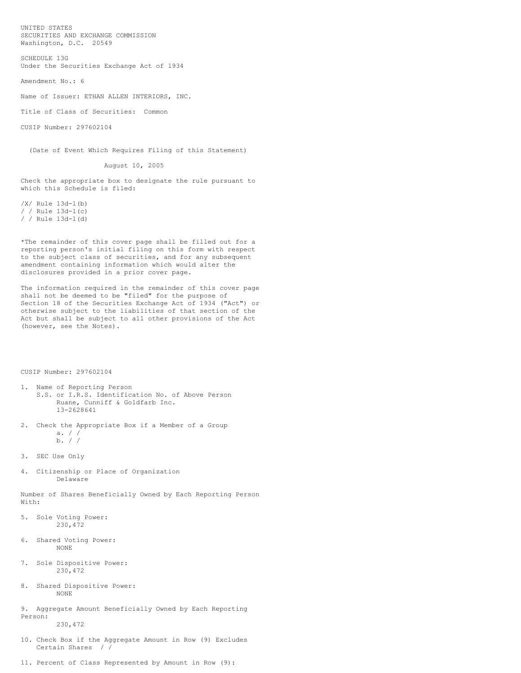UNITED STATES SECURITIES AND EXCHANGE COMMISSION Washington, D.C. 20549

SCHEDULE 13G Under the Securities Exchange Act of 1934

Amendment No.: 6

Name of Issuer: ETHAN ALLEN INTERIORS, INC.

Title of Class of Securities: Common

CUSIP Number: 297602104

(Date of Event Which Requires Filing of this Statement)

August 10, 2005

Check the appropriate box to designate the rule pursuant to which this Schedule is filed:

/X/ Rule 13d-l(b) / / Rule 13d-l(c) / / Rule 13d-l(d)

\*The remainder of this cover page shall be filled out for a reporting person's initial filing on this form with respect to the subject class of securities, and for any subsequent amendment containing information which would alter the disclosures provided in a prior cover page.

The information required in the remainder of this cover page shall not be deemed to be "filed" for the purpose of Section 18 of the Securities Exchange Act of 1934 ("Act") or otherwise subject to the liabilities of that section of the Act but shall be subject to all other provisions of the Act (however, see the Notes).

CUSIP Number: 297602104

- 1. Name of Reporting Person S.S. or I.R.S. Identification No. of Above Person Ruane, Cunniff & Goldfarb Inc. 13-2628641
- 2. Check the Appropriate Box if a Member of a Group a. / / b. /  $/$
- 3. SEC Use Only
- 4. Citizenship or Place of Organization Delaware

Number of Shares Beneficially Owned by Each Reporting Person With:

- 5. Sole Voting Power: 230,472
- 6. Shared Voting Power: NONE
- 7. Sole Dispositive Power: 230,472
- 8. Shared Dispositive Power: NONE
- 9. Aggregate Amount Beneficially Owned by Each Reporting Person: 230,472
- 10. Check Box if the Aggregate Amount in Row (9) Excludes Certain Shares / /
- 11. Percent of Class Represented by Amount in Row (9):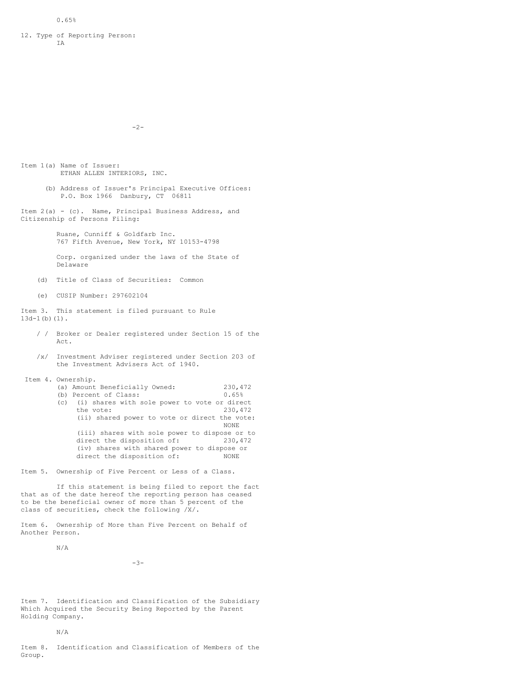## 12. Type of Reporting Person: IA

-2-

Item 1(a) Name of Issuer: ETHAN ALLEN INTERIORS, INC.

> (b) Address of Issuer's Principal Executive Offices: P.O. Box 1966 Danbury, CT 06811

Item 2(a) - (c). Name, Principal Business Address, and Citizenship of Persons Filing:

> Ruane, Cunniff & Goldfarb Inc. 767 Fifth Avenue, New York, NY 10153-4798

Corp. organized under the laws of the State of Delaware

- (d) Title of Class of Securities: Common
- (e) CUSIP Number: 297602104

Item 3. This statement is filed pursuant to Rule 13d-1(b)(1).

- / / Broker or Dealer registered under Section 15 of the Act.
- /x/ Investment Adviser registered under Section 203 of the Investment Advisers Act of 1940.
- Item 4. Ownership.

| ownersnip.                                       |         |
|--------------------------------------------------|---------|
| (a) Amount Beneficially Owned:                   | 230,472 |
| (b) Percent of Class:                            | 0.65%   |
| (c) (i) shares with sole power to vote or direct |         |
| the vote:                                        | 230,472 |
| (ii) shared power to vote or direct the vote:    |         |
|                                                  | NONE.   |
| (iii) shares with sole power to dispose or to    |         |
| direct the disposition of:                       | 230,472 |
| (iv) shares with shared power to dispose or      |         |
| direct the disposition of:                       | NONE.   |

Item 5. Ownership of Five Percent or Less of a Class.

If this statement is being filed to report the fact that as of the date hereof the reporting person has ceased to be the beneficial owner of more than 5 percent of the class of securities, check the following /X/.

Item 6. Ownership of More than Five Percent on Behalf of Another Person.

N/A

 $-3-$ 

Item 7. Identification and Classification of the Subsidiary Which Acquired the Security Being Reported by the Parent Holding Company.

## N/A